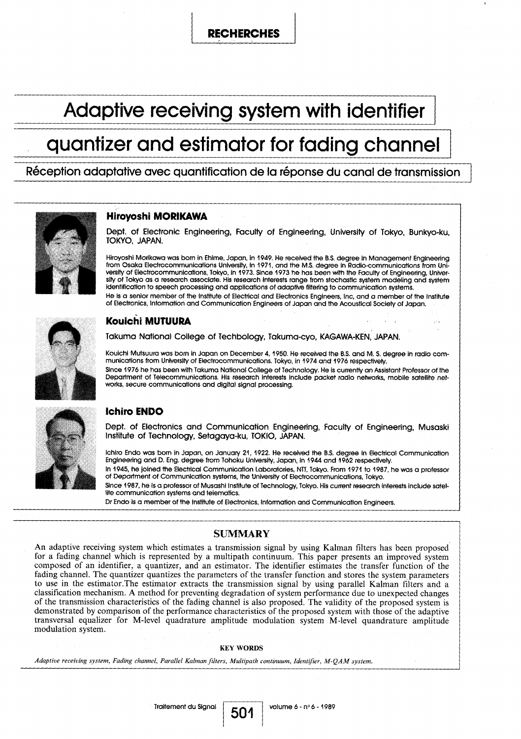# RECHERCHES

# Adaptive receiving system with identifier

# quantizer and estimator for fading channel

Réception adaptative avec quantification de la réponse du canal de transmission



# Hiroyoshi MORIKAWA

Dept. of Electronic Engineering, Faculty of Engineering, University of Tokyo, Bunkyo-ku, TOKYO, JAPAN.

Hiroyoshi Morikawa was born in Ehime, Japan, in 1949. He received the B.S. degree in Management Engineering from Osaka Electrocommunications University, in 1971, and the M.S . degree in Radio-communications from University of Electrocommunications, Tokyo, in 1973 . Since 1973 ho has been with the Faculty of Engineering, University of Tokyo as a research associate. His research interests range from stochastic system modeling and system identification to speech processing and applications of adaptive filtering to communication systems. He is a senior member of the Institute of Electricai and Electronics Engineers, inc, and a member of the Institute of Electronics, Information and Communication Engineers of Japon and the Acoustical Society of Japon .



# Kouichi MUTUURA

Takuma National College of Techbology, Takuma-cyo, KAGAWA-KEN, JAPAN.

Kouichi Mutsuura was born in Japon on December 4, 1950 . He received the B .S. and M . S. degree in radio communications from University of Electrocommunications. Tokyo, in 1974 and 1976 respectively . Since 1976 he has been with Takuma National College of Technology. He is currently an Assistant Professor of the Department of Telecommunications . His research interests include packet radio networks, mobile satellite networks, secure communications and digital signal processing.



# lchiro ENDO

Dept. of Electronics and Communication Engineering, Faculty of Engineering, Musaski Institute of Technology, Setagaya-ku, TOKIO, JAPAN.

lchiro Endo was born in Japon, on January 21, 1922. He received the B .S. degree in Electrical Communication Engineering and D . Eng . degree from Tohoku University, Japon, in 1944 and 1962 respectively. In 1945, he joined the Electrical Communication Laboratories, NTT, Tokyo. From 1971 to 1987, he was a professor

of Department of Communication systems, the University of Electrocommunications, Tokyo.

Since 1987, he is a professor of Musashi Institute of Technology, Tokyo. His current research interests include satellite communication systems and telematics.

Dr Endo is a member of the Institute of Electronics, Information and Communication Engineers.

## SUMMARY

An adaptive receiving system which estimates a transmission signal by using Kalman filters has been proposed for a fading channel which is represented by a multipath continuum . This paper presents an improved system composed of an identifier, a quantizer, and an estimator. The identifier estimates the transfer function of the fading channel. The quantizer quantizes the parameters of the transfer function and stores the system parameters to use in the estimator .The estimator extracts the-transmission signal by using parallel Kafman filters and a classification mechanism . A method for preventing degradation of system performance due to unexpected changes of the transmission characteristics of the fading channel is also proposed . The validity of the proposed system is demonstrated by comparison of the performance characteristics of the proposed system with those of the adaptive transversal equalizer for M-level quadrature amplitude modulation system M-level quandrature amplitude modulation system .

#### KEY WORDS

501

Adaptive receiving system, Fading channel, Parallel Kalman filters, Multipath continuum, Identifier, M-QAM system .

Traitement du Signal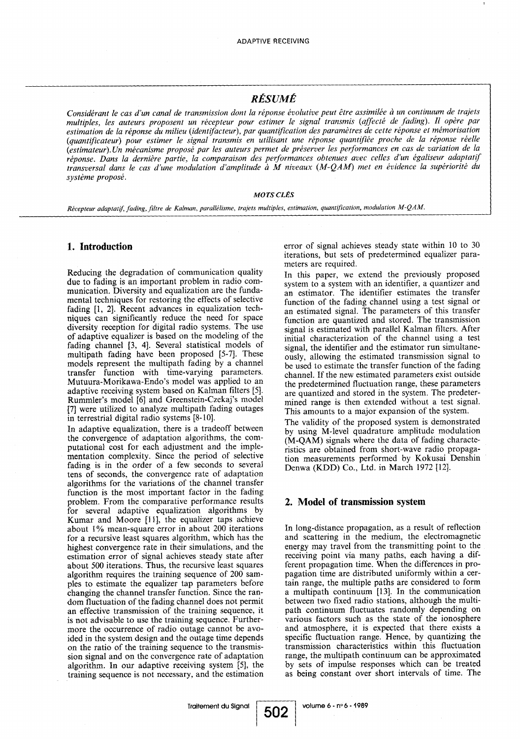## RÉSUMÉ

Considérant le cas d'un canal de transmission dont la réponse évolutive peut être assimilée à un continuum de trajets multiples, les auteurs proposent un récepteur pour estimer le signal transmis (affecté de fading). Il opère par estimation de la réponse du milieu (identifacteur), par quantification des paramètres de cette réponse et mémorisation (quantificateur) pour estimer le signal transmis en utilisant une réponse quantifiée proche de la réponse réelle (estimateur) . Un mécanisme proposé par les auteurs permet de préserver les performances en cas de variation de la réponse. Dans la dernière partie, la comparaison des performances obtenues avec celles d'un égaliseur adaptatif transversal dans le cas d'une modulation d'amplitude à M niveaux (M-QAM) met en évidence la supériorité du système proposé .

#### MOTS CLÉS

Récepteur adaptatif, fading, filtre de Kalman, parallélisme, trajets multiples, estimation, quantification, modulation M-QAM.

### 1. Introduction

Reducing the degradation of communication quality due to fading is an important problem in radio communication. Diversity and equalization are the fundamental techniques for restoring the effects of selective fading [1, 2]. Recent advances in equalization techniques can significantly reduce the need for space diversity reception for digital radio systems. The use of adaptive equalizer is based on the modeling of the fading channel [3, 4]. Several statistical models of multipath fading have been proposed [5-7]. These models represent the multipath fading by a channel transfer function with time-varying parameters. Mutuura-Morikawa-Endo's model was applied to an adaptive receiving system based on Kalman filters [5]. Rummler's model [6] and Greenstein-Czekaj's model [7] were utilized to analyze multipath fading outages in terrestrial digital radio systems [8-10] .

In adaptive equalization, there is a tradeoff between the convergence of adaptation algorithms, the computational cost for each adjustment and the implementation complexity. Since the period of selective fading is in the order of a few seconds to several tens of seconds, the convergence rate of adaptation algorithms for the variations of the channel transfer function is the most important factor in the fading problem. From the comparative performance results for several adaptive equalization algorithms by Kumar and Moore [11], the equalizer taps achieve about 1% mean-square error in about 200 iterations for a recursive least squares algorithm, which has the highest convergence rate in their simulations, and the estimation error of signal achieves steady state after about 500 iterations. Thus, the recursive least squares algorithm requires the training sequence of 200 samples to estimate the equalizer tap parameters before changing the channel transfer function . Since the random fluctuation of the fading channel does not permit an effective transmission of the training sequence, it is not advisable to use the training sequence . Furthermore the occurrence of radio outage cannot be avoided in the system design and the outage time depends on the ratio of the training sequence to the transmission signal and on the convergence rate of adaptation algorithm. In our adaptive receiving system [5], the training sequence is not necessary, and the estimation error of signal achieves steady state within 10 to 30 iterations, but sets of predetermined equalizer parameters are required.

In this paper, we extend the previously proposed system to a system with an identifier, a quantizer and an estimator. The identifier estimates the transfer function of the fading channel using a test signal or an estimated signal. The parameters of this transfer function are quantized and stored. The transmission signal is estimated with parallel Kalman filters. After initial characterization of the channel using a test signal, the identifier and the estimator run simultaneously, allowing the estimated transmission signal to be used to estimate the transfer function of the fading channel. If the new estimated parameters exist outside the predetermined fluctuation range, these parameters are quantized and stored in the system. The predetermined range is then extended without a test signal. This amounts to a major expansion of the system.

The validity of the proposed system is demonstrated by using M-level quadrature amplitude modulation (M-QAM) signais where the data of fading characteristics are obtained from short-wave radio propagation measurements performed by Kokusai Denshin Denwa (KDD) Co., Ltd. in March 1972 [12].

#### 2. Model of transmission system

In long-distance propagation, as a result of reflection and scattering in the medium, the electromagnetic energy may travei from the transmitting point to the receiving point via many paths, each having a different propagation time. When the differences in propagation time are distributed uniformly within a certain range, the multiple paths are considered to form a multipath continuum [13]. In the communication between two fixed radio stations, although the multipath continuum fluctuates randomly depending on various factors such as the state of the ionosphere and atmosphere, it is expected that there exists a specific fluctuation range. Hence, by quantizing the transmission characteristics within this fluctuation range, the multipath continuum can be approximated by sets of impulse responses which can be treated as being constant over short intervals of time. The

volume 6 - n° 6 - 1989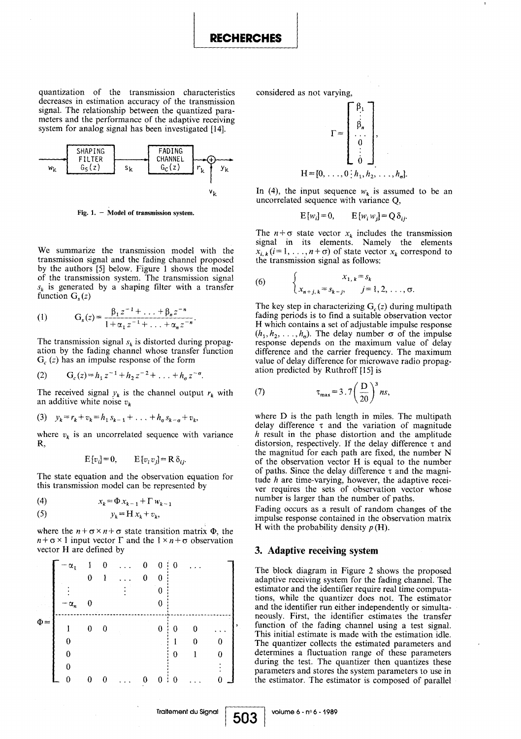RECHERCHES

quantization of the transmission characteristics decreases in estimation accuracy of the transmission signal. The relationship between the quantized parameters and the performance of the adaptive receiving system for analog signal has been investigated [14].

 

 

 

 



Fig. 1.  $-$  Model of transmission system.

We summarize the transmission model with the transmission signal and the fading channel proposed by the authors [5] below. Figure 1 shows the model of the transmission system. The transmission signal  $s_k$  is generated by a shaping filter with a transfer function  $G<sub>s</sub>(z)$ 

(1) 
$$
G_s(z) = \frac{\beta_1 z^{-1} + \ldots + \beta_n z^{-n}}{1 + \alpha_1 z^{-1} + \ldots + \alpha_n z^{-n}}.
$$

The transmission signal  $s_k$  is distorted during propagation by the fading channel whose transfer function  $G_c(z)$  has an impulse response of the form

(2) 
$$
G_c(z) = h_1 z^{-1} + h_2 z^{-2} + \ldots + h_{\sigma} z^{-\sigma}.
$$

The received signal  $y_k$  is the channel output  $r_k$  with an additive white noise  $v_k$ 

(3) 
$$
y_k = r_k + v_k = h_1 s_{k-1} + \ldots + h_{\sigma} s_{k-\sigma} + v_k
$$

where  $v_k$  is an uncorrelated sequence with variance R,

$$
E[v_i] = 0, \qquad E[v_i v_j] = R \delta_{ij}.
$$

The state equation and the observation equation for this transmission model can be represented by

$$
(4) \t x_k = \Phi x_{k-1} + \Gamma w_{k-1}
$$

$$
(5) \t\t y_k = H x_k + v_k,
$$

|          |                                                                                                                                                                    |  |   | $\sim$ $\sim$ $\kappa$ $\sim$ $\sim$ $\sim$ $\kappa$ $\sim$ $\sim$                           |  |          |                |  |  |
|----------|--------------------------------------------------------------------------------------------------------------------------------------------------------------------|--|---|----------------------------------------------------------------------------------------------|--|----------|----------------|--|--|
| (5)      | $y_k = H x_k + v_k$                                                                                                                                                |  |   |                                                                                              |  |          |                |  |  |
|          | where the $n + \sigma \times n + \sigma$ state transition matrix $\Phi$ , the<br>$n+\sigma \times 1$ input vector $\Gamma$ and the $1 \times n+\sigma$ observation |  |   |                                                                                              |  |          |                |  |  |
|          | vector H are defined by                                                                                                                                            |  |   |                                                                                              |  |          |                |  |  |
|          |                                                                                                                                                                    |  |   | $\begin{array}{ccccccccc} \alpha_1 & 1 & 0 & \ldots & 0 \\ & 0 & 1 & \ldots & 0 \end{array}$ |  |          | $\overline{0}$ |  |  |
|          |                                                                                                                                                                    |  |   |                                                                                              |  |          |                |  |  |
|          |                                                                                                                                                                    |  |   |                                                                                              |  |          |                |  |  |
|          | $\alpha_n$                                                                                                                                                         |  |   |                                                                                              |  | 0        |                |  |  |
| $\Phi =$ |                                                                                                                                                                    |  | 0 |                                                                                              |  | $\theta$ | 0              |  |  |
|          |                                                                                                                                                                    |  |   |                                                                                              |  |          |                |  |  |
|          |                                                                                                                                                                    |  |   |                                                                                              |  |          | $\theta$       |  |  |
|          |                                                                                                                                                                    |  |   |                                                                                              |  |          |                |  |  |
|          |                                                                                                                                                                    |  |   |                                                                                              |  |          |                |  |  |

considered as not varying,



In (4), the input sequence  $w_k$  is assumed to be an uncorrelated sequence with variance Q,

$$
E[w_i] = 0, \qquad E[w_i w_j] = Q \delta_{ij}.
$$

The  $n + \sigma$  state vector  $x_k$  includes the transmission signal in its elements. Namely the elements  $x_{i, k}$  ( $i = 1, \ldots, n + \sigma$ ) of state vector  $x_k$  correspond to the transmission signal as follows :

(6) 
$$
\begin{cases} x_{1, k} = s_k \\ x_{n+j, k} = s_{k-j}, \quad j = 1, 2, \ldots, \sigma. \end{cases}
$$

The key step in characterizing  $G_c(z)$  during multipath fading periods is to find a suitable observation vector H which contains a set of adjustable impulse response H which contains a set of adjustable impulse response  $(h_1, h_2, \ldots, h_o)$ . The delay number  $\sigma$  of the impulse response depends on the maximum value of delay difference and the carrier frequency. The maximum value of delay différence for microwave radio propagation predicted by Ruthroff [15] is

(7) 
$$
\tau_{\text{max}} = 3.7 \left(\frac{D}{20}\right)^3 ns,
$$

where  $D$  is the path length in miles. The multipath delay difference  $\tau$  and the variation of magnitude h result in the phase distortion and the amplitude distorsion, respectively. If the delay difference  $\tau$  and the magnitud for each path are fixed, the number N of the observation vector H is equal to the number of paths. Since the delay difference  $\tau$  and the magnitude  $h$  are time-varying, however, the adaptive receiver requires the sets of observation vector whose number is larger than the number of paths.

Fading occurs as a result of random changes of the impulse response contained in the observation matrix H with the probability density  $p(H)$ .

#### 3. Adaptive receiving system

The block diagram in Figure 2 shows the proposed adaptive receiving system for the fading channel. The estimator and the identifier require real time computations, while the quantizer does not . The estimator and the identifier run either independently or simultaneously . First, the identifier estimates the transfer function of the fading channel using a test signal. This initial estimate is made with the estimation idle. The quantizer collects the estimated parameters and determines a fluctuation range of these parameters during the test. The quantizer then quantizes these parameters and stores the system parameters to use in the estimator. The estimator is composed of parallel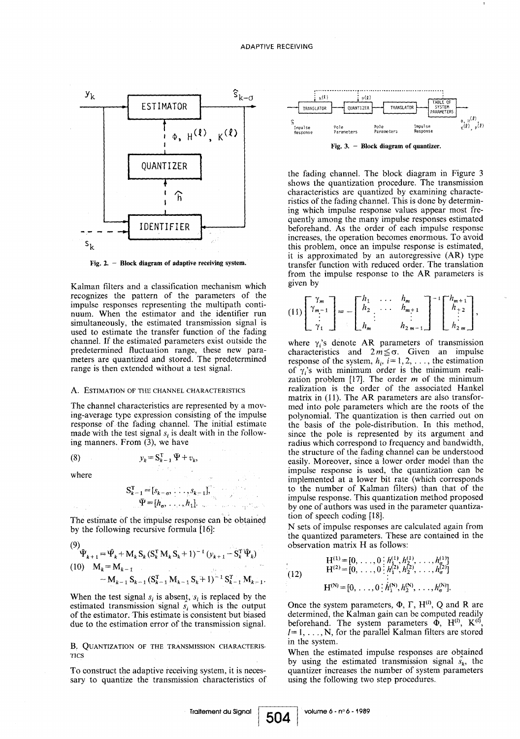

Fig. 2.  $-$  Block diagram of adaptive receiving system.

Kalman filters and a classification mechanism which recognizes the pattern of the parameters of the impulse responses representing the multipath continuum. When the estimator and the identifier run simultaneously, the estimated transmission signal is used to estimate the transfer function of the fading channel. If the estimated parameters exist outside the predetermined fluctuation range, these new parameters are quantized and stored. The predetermined range is then extended without a test signal.

#### A. ESTIMATION OF THE CHANNEL CHARACTERISTICS

The channel characteristics are represented by a moving-average type expression consisting of the impulse response of the fading channel. The initial estimate made with the test signal  $s_i$  is dealt with in the following manners. From (3), we have

 $y_k = S_{k-1}^T \Psi + v_k,$ 

$$
(8) \quad \blacksquare
$$

where

$$
S_{k-1}^{T} = [s_{k-\sigma}, \dots, s_{k-1}]
$$
  

$$
\Psi = [h_{\sigma}, \dots, h_{1}].
$$
  
The estimate of the impulse response can be obtained

by the following recursive formula [16]:

$$
(9)
$$
\n
$$
\hat{\Psi}_{k+1} = \hat{\Psi}_k + M_k S_k (S_k^T M_k S_k + 1)^{-1} (y_{k+1} - S_k^T \hat{\Psi}_k)
$$
\n
$$
(10) \quad M_k = M_{k-1}
$$
\n
$$
- M_{k-1} S_{k-1} (S_{k-1}^T M_{k-1} S_k + 1)^{-1} S_{k-1}^T M_{k-1}.
$$

When the test signal  $s_i$  is absent,  $s_i$  is replaced by the estimated transmission signal  $s_i$  which is the output of the estimator. This estimate is consistent but biased due to the estimation error of the transmission signal.

B. QUANTIZATION OF THE TRANSMISSION CHARACTERIS-TICS

To construct the adaptive receiving system, it is necessary to quantize the transmission characteristics of



the fading channel. The block diagram in Figure 3 shows the quantization procedure. The transmission characteristics are quantized by examining characteristics of the fading channel. This is done by determining which impulse response values appear most frequently among the many impulse responses estimated beforehand. As the order of each impulse response increases, the operation becomes enormous . To avoid this problem, once an impulse response is estimated, it is approximated by an autoregressive (AR) type transfer function with reduced order. The translation from the impulse response to the AR parameters is given by

$$
(11)\begin{bmatrix} \gamma_m \\ \gamma_{m-1} \\ \vdots \\ \gamma_1 \end{bmatrix} = - \begin{bmatrix} h_1 & \dots & h_m \\ h_2 & \dots & h_{m+1} \\ \vdots & & \vdots \\ h_m & & h_{2m-1} \end{bmatrix}^{-1} \begin{bmatrix} h_{m+1} \\ h_{+2} \\ \vdots \\ h_{2m} \end{bmatrix},
$$

where  $\gamma_i$ 's denote AR parameters of transmission characteristics and  $2 m \leq \sigma$ . Given an impulse response of the system,  $h_i$ ,  $i=1, 2, \ldots$ , the estimation of  $\gamma_i$ 's with minimum order is the minimum realization problem  $[17]$ . The order m of the minimum realization is the order of the associated Hankel matrix in (11). The AR parameters are also transformed into pole parameters which are the roots of the polynomial. The quantization is then carried out on the basis of the pole-distribution. In this method, since the pole is represented by its argument and radius which correspond to frequency and bandwidth, the structure of the fading channel can be understood easily. Moreover, since a lower order model than the impulse response is used, the quantization can be implemented at a lower bit rate (which corresponds to the number of Kalman filters) than that of the impulse response. This quantization method proposed by one of authors was used in the parameter quantization of speech coding [18].

N sets of impulse responses are calculated again from the quantized parameters. These are contained in the observation matrix H as follows :

(12) 
$$
H^{(1)} = [0, \ldots, 0; h_1^{(1)}, h_2^{(1)}, \ldots, h_\sigma^{(1)}] H^{(2)} = [0, \ldots, 0; h_1^{(2)}, h_2^{(2)}, \ldots, h_\sigma^{(2)}] H^{(N)} = [0, \ldots, 0; h_1^{(N)}, h_2^{(N)}, \ldots, h_\sigma^{(N)}].
$$

Once the system parameters,  $\Phi$ ,  $\Gamma$ ,  $H^{(l)}$ , Q and R are determined, the Kalman gain can be computed readily beforehand. The system parameters  $\Phi$ , H<sup>(t)</sup>, K<sup>(t)</sup>,  $l=1, \ldots, N$ , for the parallel Kalman filters are stored in the system.

When the estimated impulse responses are obtained by using the estimated transmission signal  $\hat{s}_k$ , the quantizer increases the number of system parameters using the following two step procedures.

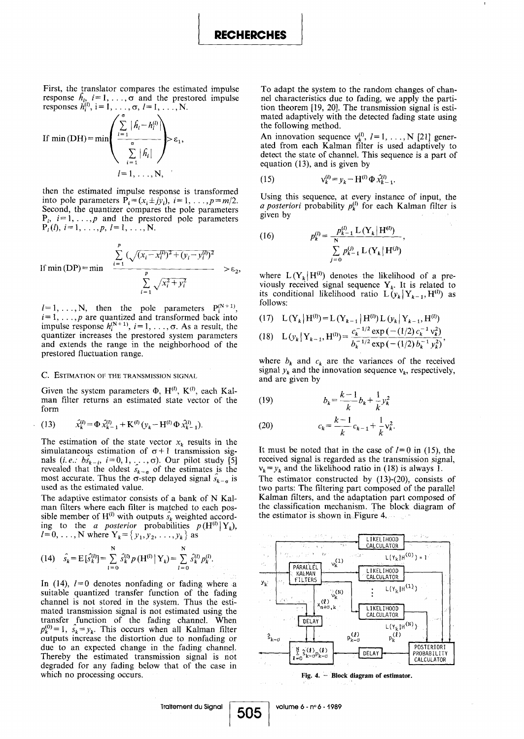First, the translator compares the estimated impulse response  $h_{i_j}$   $i = 1, \ldots, \sigma$  and the prestored impulse responses  $h_i^{(i)}$ , i= 1, ...,  $\sigma$ ,  $l=1, ..., N$ .

If min (DH) = min 
$$
\left( \frac{\sum_{i=1}^{5} |\hat{h}_i - h_i^{(l)}|}{\sum_{i=1}^{5} |\hat{h}_i|} \right) > \varepsilon_1
$$
,  
\n $l = 1, ..., N$ ,

then the estimated impulse response is transformed into pole parameters  $P_i = (x_i \pm jy_i), i = 1, \ldots, p = m/2.$ Second, the quantizer compares the pole parameters  $P_i$ ,  $i=1,\ldots,p$  and the prestored pole parameters  $P_i(t), i = 1, \ldots, p, l = 1, \ldots, N.$ 

If  $min(DP) = min$ P  $(\sqrt{(x_i - x_i^{(i)})^2 + (y_i - y_i^{(i)})^2})$ P  $\sum_{i=1}^{n} \sqrt{x_i^2 + y_i^2}$ 

 $l=1,\ldots,N$ , then the pole parameters  $P_i^{(N+1)}$  $i=1, \ldots, p$  are quantized and transformed back into impulse response  $h_i^{(N+1)}$ ,  $i=1, \ldots, \sigma$ . As a result, the quantizer increases the prestored system parameters and extends the range in the neighborhood of the prestored fluctuation range.

#### C. ESTIMATION OF THE TRANSMISSION SIGNAL

Given the system parameters  $\Phi$ , H<sup>(l)</sup>, K<sup>(l)</sup>, each Kalman filter returns an estimated state vector of the form

(13) 
$$
\hat{x}_{k}^{(l)} = \Phi \, \hat{x}_{k-1}^{(l)} + \mathbf{K}^{(l)} \left( y_{k} - \mathbf{H}^{(l)} \Phi \, \hat{x}_{k-1}^{(l)} \right).
$$

The estimation of the state vector  $x_k$  results in the simulataneous estimation of  $\sigma+1$  transmission signals  $(i, e, b\hat{s}_{k-i}, i=0, 1, \ldots, \sigma)$ . Our pilot study [5] revealed that the oldest  $\hat{s}_{k-\sigma}$  of the estimates is the most accurate. Thus the  $\sigma$ -step delayed signal  $\hat{s}_{k-\sigma}$  is used as the estimated value.

The adaptive estimator consists of a bank of N Kalman filters where each filter is matched to each possible member of  $H^{(l)}$  with outputs  $\hat{s_k}$  weighted according to the a posterior probabilities  $p(H^{(i)} | Y_k)$ ,  $1=0, \ldots, N$  where  $Y_k = \{ y_1, y_2, \ldots, y_k \}$  as

(14) 
$$
\hat{s}_k = E[\hat{s}_k^{(l)}] = \sum_{l=0}^{N} \hat{s}_k^{(l)} p(H^{(l)} | Y_k) = \sum_{l=0}^{N} \hat{s}_k^{(l)} p_k^{(l)}
$$
.

In (14),  $l=0$  denotes nonfading or fading where a suitable quantized transfer function of the fading channel is not stored in the system. Thus the estimated transmission signal is not estimated using the transfer function of the fading channel . When  $p_k^{(0)} = 1$ ,  $\hat{s}_k = y_k$ . This occurs when all Kalman filter outputs increase the distortion due to nonfading or due to an expected change in the fading channel. Thereby the estimated transmission signal is not degraded for any fading below that of the case in which no processing occurs.

To adapt the system to the random changes of channel characteristics due to fading, we apply the partition theorem [19, 20]. The transmission signal is estimated adaptively with the detected fading state using the following method.

An innovation sequence  $v_k^{(l)}$ ,  $l = 1, \ldots, N$  [21] generated from each Kalman filter is used adaptively to detect the state of channel. This sequence is a part of equation (13), and is given by

(15) 
$$
v_k^{(l)} = y_k - H^{(l)} \Phi \, \hat{x}_{k-1}^{(l)}.
$$

Using this sequence, at every instance of input, the a posteriori probability  $p_k^{(l)}$  for each Kalman filter is given by

(16) 
$$
p_k^{(l)} = \frac{p_{k-1}^{(l)} \mathcal{L}(Y_k | H^{(l)})}{\sum_{j=0}^{N} p_{k-1}^{(j)} \mathcal{L}(Y_k | H^{(j)})},
$$

where  $L(Y_k | H^{(l)})$  denotes the likelihood of a previously received signal sequence  $Y_k$ . It is related to its conditional likelihood ratio  $L(y_k | Y_{k-1}, H^{(l)})$  as follows:

(17) 
$$
L(Y_k | H^{(l)}) = L(Y_{k-1} | H^{(l)}) L(y_k | Y_{k-1}, H^{(l)})
$$
  
(18) 
$$
L(y_k | Y_{k-1}, H^{(l)}) = \frac{c_k^{-1/2} \exp(-(1/2) c_k^{-1} v_k^2)}{b_k^{-1/2} \exp(-(1/2) b_k^{-1} y_k^2)},
$$

where  $b_k$  and  $c_k$  are the variances of the received signal  $y_k$  and the innovation sequence  $v_k$ , respectively, and are given by

(19) 
$$
b_k = \frac{k-1}{k}b_k + \frac{1}{k}y_k^2
$$

(20) 
$$
c_k = \frac{k-1}{k}c_{k-1} + \frac{1}{k}v_k^2.
$$

It must be noted that in the case of  $l=0$  in (15), the received signal is regarded as the transmission signal,  $v_k = y_k$  and the likelihood ratio in (18) is always 1.

The estimator constructed by (13)-(20), consists of two parts: The filtering part composed of the parallel Kalman filters, and the adaptation part composed of the classification mechanism. The block diagram of the estimator is shown in-Figure 4,



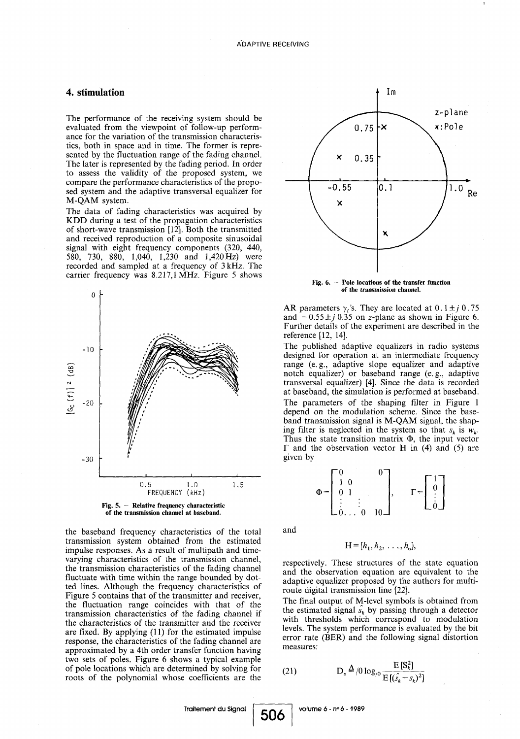## 4. stimulation

The performance of the receiving system should be evaluated from the viewpoint of follow-up performance for the variation of the transmission characteristics, both in space and in time. The former is represented by the fluctuation range of the fading channel. The later is represented by the fading period. In order to assess the validity of the proposed system, we compare the performance characteristics of the proposed system and the adaptive transversal equalizer for M-QAM system .

The data of fading characteristics was acquired by KDD during a test of the propagation characteristics of short-wave transmission [12] . Both the transmitted and received reproduction of a composite sinusoidal signal with eight frequency components (320, 440, 580, 730, 880, 1,040, 1,230 and 1,420Hz) were recorded and sampled at a frequency of  $3 kHz$ . The carrier frequency was 8.217,1 MHz. Figure 5 shows



Fig. 5.  $-$  Relative frequency characteristic of the transmission channel at baseband .

the baseband frequency characteristics of the total transmission system obtained from the estimated impulse responses . As a result of multipath and timevarying characteristics of the transmission channel, the transmission characteristics of the fading channel fluctuate with time within the range bounded by dotted lines . Although the frequency characteristics of Figure 5 contains that of the transmitter and receiver, the fluctuation range coincides with that of the transmission characteristics of the fading channel if the characteristics of the transmitter and the receiver are fixed. By applying  $(11)$  for the estimated impulse response, the characteristics of the fading channel are approximated by a 4th order transfer function having two sets of poles. Figure 6 shows a typical example of pole locations which are determined by solving for roots of the polynomial whose coefficients are the



Fig.  $6.$  – Pole locations of the transfer function of the transmission channel.

AR parameters  $\gamma_i$ 's. They are located at  $0.1 \pm j 0.75$ and  $-0.55 \pm j 0.35$  on z-plane as shown in Figure 6. Further details of the experiment are described in the reference [12, 14] .

The published adaptive equalizers in radio systems designed for operation at an intermediate frequency range (e.g., adaptive slope equalizer and adaptive notch equalizer) or baseband range (e.g., adaptive transversal equalizer) [4]. Since the data is recorded at baseband, the simulation is performed at baseband . The parameters of the shaping filter in Figure 1 depend on the modulation scheme. Since the baseband transmission signal is M-QAM signal, the shaping filter is neglected in the system so that  $s_k$  is  $w_k$ . Thus the state transition matrix  $\Phi$ , the input vector  $\Gamma$  and the observation vector H in (4) and (5) are given by



and

506

$$
H=[h_1, h_2, \ldots, h_{\sigma}],
$$

respectively. These structures of the state equation and the observation equation are equivalent to the adaptive equalizer proposed by the authors for multiroute digital transmission line [22].

The final output of M-level symbols is obtained from the estimated signal  $\hat{s_k}$  by passing through a detector with thresholds which correspond to modulation levels . The system performance is evaluated by the bit error rate (BER) and the following signal distortion measures: (R) and the following si<br>  $D_s \triangleq /0 \log_{10} \frac{E[S_k^2]}{E[(s_k - s_k)^2]}$ 

(21) 
$$
D_s \frac{\Delta}{\rho} \log_{10} \frac{E[S_k^2]}{E[(s_k - s_k)^2]}
$$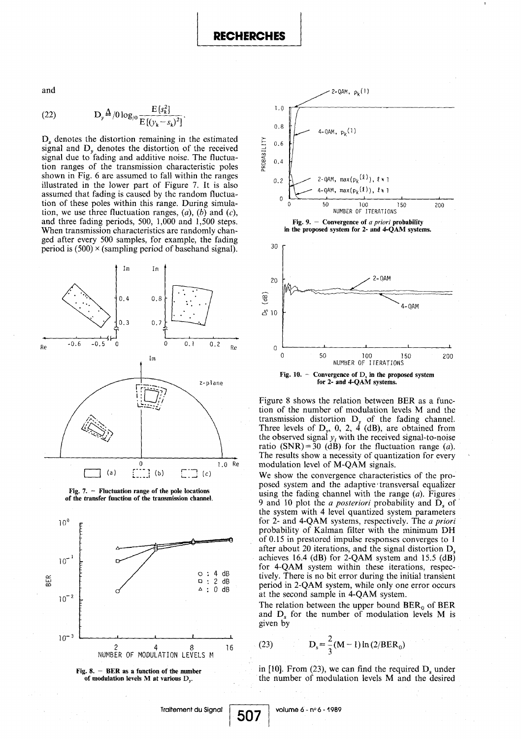and

(22) 
$$
D_{\nu}^{\Delta}/0 \log_{0} \frac{E[s_{k}^{2}]}{E[(y_{k} - s_{k})^{2}]}.
$$

 $D<sub>s</sub>$  denotes the distortion remaining in the estimated signal and  $D<sub>v</sub>$  denotes the distortion of the received signal due to fading and additive noise. The fluctuation ranges of the transmission characteristic poles shown in Fig. 6 are assumed to fall within the ranges illustrated in the lower part of Figure 7. It is also assumed that fading is caused by the random fluctuation of these poles within this range. During simulation, we use three fluctuation ranges,  $(a)$ ,  $(b)$  and  $(c)$ , and three fading periods, 500, 1,000 and 1,500 steps. When transmission characteristics are randomly changed after every 500 samples, for example, the fading period is  $(500) \times$  (sampling period of basehand signal).











Figure 8 shows the relation between BER as a function of the number of modulation levels M and the transmission distortion  $U_y$  of the fading channel. Three levels of  $D_y$ , 0, 2, 4 (dB), are obtained from the observed signal  $y_i$  with the received signal-to-noise ratio (SNR) = 30 (dB) for the fluctuation range (a). The results show a necessity of quantization for every modulation level of M-QAM signals.

We show the convergence characteristics of the proposed system and the adaptive'transversal equalizer using the fading channel with the range  $(a)$ . Figures 9 and 10 plot the *a posteriori* probability and  $\overline{D}$ , of the system with 4 level quantized system parameters for 2- and 4-QAM systems, respectively. The a priori probability of Kalman filter with the minimum DH of 0.15 in prestored impulse responses converges to 1 after about 20 iterations, and the signal distortion  $D_s$ achieves 16.4 (dB) for 2-QAM system and 15.5 (dB) for 4-QAM system within these iterations, respectively. There is no bit error during the initial transient period in 2-QAM system, while only one error occurs at the second sample in 4-QAM system.

The relation between the upper bound  $BER_0$  of BER and  $D_s$  for the number of modulation levels M is given by

(23) 
$$
D_s = \frac{2}{3}(M-1)\ln(2/BER_0)
$$

in  $[10]$ . From  $(23)$ , we can find the required  $D<sub>s</sub>$  under the number of modulation levels M and the desired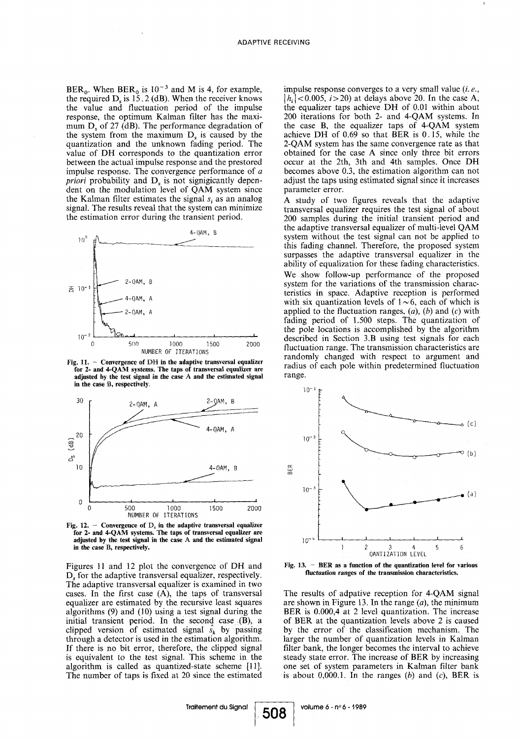BER<sub>0</sub>. When BER<sub>0</sub> is  $10^{-3}$  and M is 4, for example, the required  $D_s$  is 15.2 (dB). When the receiver knows the value and fluctuation period of the impulse response, the optimum Kalman filter has the maximum  $D_s$  of 27 (dB). The performance degradation of the system from the maximum  $D<sub>s</sub>$  is caused by the quantization and the unknown fading period. The value of DH corresponds to the quantization error between the actual impulse response and the prestored impulse response. The convergence performance of  $a$ *priori* probability and  $D<sub>s</sub>$  is not signigicantly dependent on the modulation level of QAM system since the Kalman filter estimates the signal  $s_i$  as an analog signal. The results reveal that the system can minimize the estimation error during the transient period.



Fig. 11. - Convergence of DH in the adaptive transversal equalizer for 2- and 4-QAM systems. The taps of transversal equalizer are adjusted by the test signal in the case A and the estimated signal in the case B, respectively.



Fig. 12.  $-$  Convergence of  $D_s$  in the adaptive transversal equalizer are for 2- and 4-QAM systems. The taps of transversal equalizer are adjusted by the test signal in the case A and the estimated signal in the case B, respectively.

Figures 11 and 12 plot the convergence of DH and  $D<sub>s</sub>$  for the adaptive transversal equalizer, respectively. The adaptive transversal equalizer is examined in two cases. In the first case  $(A)$ , the taps of transversal equalizer are estimated by the recursive least squares algorithms (9) and (10) using a test signal during the initial transient period. In the second case  $(B)$ , a clipped version of estimated signal  $\hat{s_k}$  by passing through a detector is used in the estimation algorithm . If there is no bit error, therefore, the clipped signal is equivalent to the test signal . This scheme in the algorithm is called as quantized-state scheme [11]. The number of taps is fixed at 20 since the estimated impulse response converges to a very small value  $(i.e.,$  $|h_i|$  < 0.005,  $i > 20$ ) at delays above 20. In the case A, the equalizer taps achieve DH of 0.01 within about 200 iterations for both 2- and 4-QAM systems. In the case B, the equalizer taps of 4-QAM system achieve DH of  $0.69$  so that BER is  $0.15$ , while the 2-QAM system has the same convergence rate as that obtained for the case A since only three bit errors occur at the 2th, 3th and 4th samples. Once DH becomes above 0.3, the estimation algorithm can not adjust the taps using estimated signal since it increases parameter error.

A study of two figures reveals that the adaptive transversal equalizer requires the test signal of about 200 samples during the initial transient period and the adaptive transversal equalizer of multi-level QAM system without the test signal can not be applied to this fading channel. Therefore, the proposed system surpasses the adaptive transversal equalizer in the ability of equalization for these fading characteristics . We show follow-up performance of the proposed system for the variations of the transmission characteristics in space . Adaptive reception is performed with six quantization levels of  $1\sim 6$ , each of which is applied to the fluctuation ranges,  $(a)$ ,  $(b)$  and  $(c)$  with fading period of 1.500 steps. The quantization of the pole locations is accomplished by the algorithm described in Section 3.B using test signals for each fluctuation range. The transmission characteristics are randomly changed with respect to argument and radius of each pole within predetermined fluctuation range.



Fig.  $13. - BER$  as a function of the quantization level for various fluctuation ranges of the transmission characteristics.

The results of adpative reception for 4-QAM signal are shown in Figure 13. In the range  $(a)$ , the minimum BER is 0.000,4 at 2 level quantization. The increase of BER at the quantization. levels above 2 is caused by the error of the classification mechanism. The larger the number of quantization levels in Kalman filter bank, the longer becomes the interval to achieve steady state error. The increase of BER by increasing one set of system parameters in Kalman filter bank is about  $0,000.1$ . In the ranges (b) and (c), BER is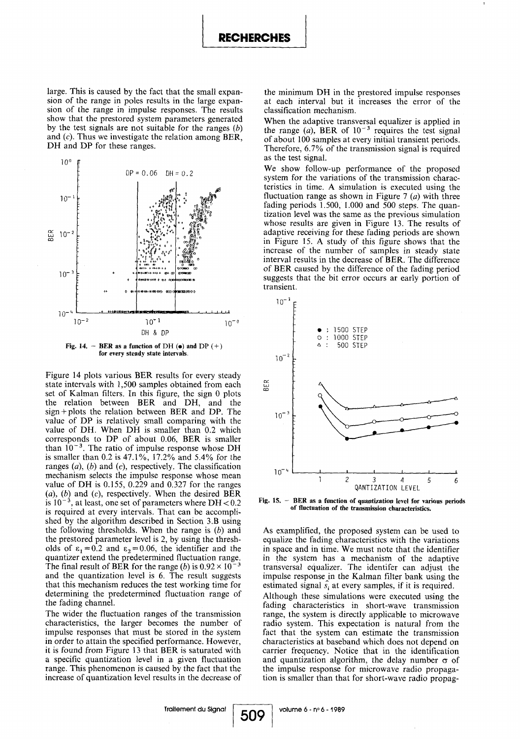large. This is caused by the fact that the small expansion of the range in poles results in the large expansion of the range in impulse responses. The results show that the prestored system parameters generated by the test signals are not suitable for the ranges  $(b)$ and  $(c)$ . Thus we investigate the relation among BER, DH and DP for these ranges.





Figure 14 plots various BER results for every steady state intervals with 1,500 samples obtained from each set of Kalman filters. In this figure, the sign 0 plots the relation between BER and DH, and the sign +plots the relation between BER and DP. The value of DP is relatively small comparing with the value of DH. When DH is smaller than 0.2 which corresponds to DP of about 0.06, BER is smaller than  $10^{-3}$ . The ratio of impulse response whose DH is smaller than 0.2 is 47.1%, 17.2% and 5.4% for the ranges  $(a)$ ,  $(b)$  and  $(c)$ , respectively. The classification mechanism selects the impulse response whose mean value of DH is  $0.155$ ,  $0.229$  and  $0.327$  for the ranges (a), (b) and (c), respectively. When the desired BER is  $10^{-3}$ , at least, one set of parameters where DH < 0.2 , at least, one set of parameters where  $DH<0.2$ is required at every intervals. That can be accomplished by the algorithm described in Section 3.B using the following thresholds. When the range is  $(b)$  and the prestored parameter level is 2, by using the thresholds of  $\varepsilon_1 = 0.2$  and  $\varepsilon_2 = 0.06$ , the identifier and the quantizer extend the predetermined fluctuation range . The final result of BER for the range (b) is  $0.92 \times 10^{-3}$ and the quantization level is 6 . The result suggests that this mechanism reduces the test working time for determining the predetermined fluctuation range of the fading channel. Figure 14 plots various BER results for every steady<br>
state intervals with 1,500 samples obtained from each<br>
set of Kalman filters. In this figure, the sign 0 plots<br>
the relation between BER and DH, and the<br>
sign+plots th

> The wider the fluctuation ranges of the transmission characteristics, the larger becomes the number of impulse responses that must be stored in the system in order to attain the specified performance . However, it is found from Figure 13 that BER is saturated with a specific quantization level in a given fluctuation range. This phenomenon is caused by the fact that the increase of quantization level results in the decrease of

the minimum DH in the prestored impulse responses at each interval but it increases the error of the classification mechanism .

When the adaptive transversal equalizer is applied in the range (a), BER of  $10^{-3}$  requires the test signal of about 100 samples at every initial transient periods . Therefore, 6.7% of the transmission signal is required as the test signal.

We show follow-up performance of the proposed system for the variations of the transmission characteristics in time . A simulation is executed using the fluctuation range as shown in Figure 7  $(a)$  with three fading periods  $1.500$ ,  $1.000$  and  $500$  steps. The quantization level was the same as the previous simulation whose results are given in Figure 13. The results of adaptive receiving for these fading periods are shown in Figure 15 . A study of this figure shows that the increase of the number of samples in steady state interval results in the decrease of BER . The différence of BER caused by the différence of the fading period suggests that the bit error occurs ar early portion of transient.



Fig.  $15. - BER$  as a function of quantization level for various periods of fluctuation of the transmission characteristics.

As examplified, the proposed system can be used to equalize the fading characteristics with the variations in space and in time. We must note that the identifier in the system has a mechanism of the adaptive transversal equalizer. The identifer can adjust the impulse response in the Kalman filter bank using the estimated signal  $s_i$  at every samples, if it is required. Although these simulations were executed using the fading characteristics in short-wave transmission

range, the system is directly applicable to microwave radio system. This expectation is natural from the fact that the system can estimate the transmission characteristics at baseband which does not depend on carrier frequency. Notice that in the identification and quantization algorithm, the delay number  $\sigma$  of the impulse response for microwave radio propagation is smaller than that for short-wave radio propag-